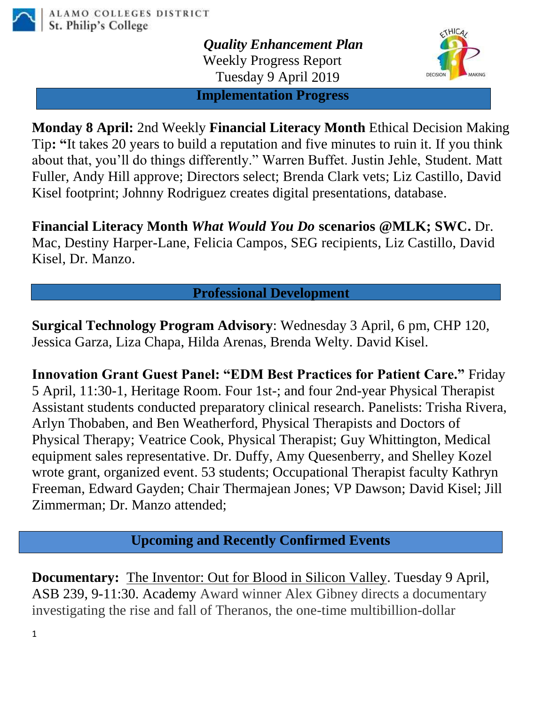

*Quality Enhancement Plan* Weekly Progress Report Tuesday 9 April 2019



**Implementation Progress**

**Monday 8 April:** 2nd Weekly **Financial Literacy Month** Ethical Decision Making Tip**: "**It takes 20 years to build a reputation and five minutes to ruin it. If you think about that, you'll do things differently." Warren Buffet. Justin Jehle, Student. Matt Fuller, Andy Hill approve; Directors select; Brenda Clark vets; Liz Castillo, David Kisel footprint; Johnny Rodriguez creates digital presentations, database.

**Financial Literacy Month** *What Would You Do* **scenarios @MLK; SWC.** Dr. Mac, Destiny Harper-Lane, Felicia Campos, SEG recipients, Liz Castillo, David Kisel, Dr. Manzo.

## **Professional Development**

**Surgical Technology Program Advisory**: Wednesday 3 April, 6 pm, CHP 120, Jessica Garza, Liza Chapa, Hilda Arenas, Brenda Welty. David Kisel.

**Innovation Grant Guest Panel: "EDM Best Practices for Patient Care."** Friday 5 April, 11:30-1, Heritage Room. Four 1st-; and four 2nd-year Physical Therapist Assistant students conducted preparatory clinical research. Panelists: Trisha Rivera, Arlyn Thobaben, and Ben Weatherford, Physical Therapists and Doctors of Physical Therapy; Veatrice Cook, Physical Therapist; Guy Whittington, Medical equipment sales representative. Dr. Duffy, Amy Quesenberry, and Shelley Kozel wrote grant, organized event. 53 students; Occupational Therapist faculty Kathryn Freeman, Edward Gayden; Chair Thermajean Jones; VP Dawson; David Kisel; Jill Zimmerman; Dr. Manzo attended;

**Upcoming and Recently Confirmed Events**

**Documentary:** [The Inventor: Out for Blood in Silicon Valley.](https://mail.alamo.edu/owa/redir.aspx?C=LrCOwtMu5yn2ybu7eUd_SCMNDTc4ia3PKBazolIOJQhXDucwkLfWCA..&URL=https%3a%2f%2fspcezproxy.alamo.edu%2flogin%3furl%3dhttps%3a%2f%2fdigital.films.com%2fPortalPlaylists.aspx%3fwID%3d95143%26xtid%3d182965) Tuesday 9 April, ASB 239, 9-11:30. Academy Award winner Alex Gibney directs a documentary investigating the rise and fall of Theranos, the one-time multibillion-dollar